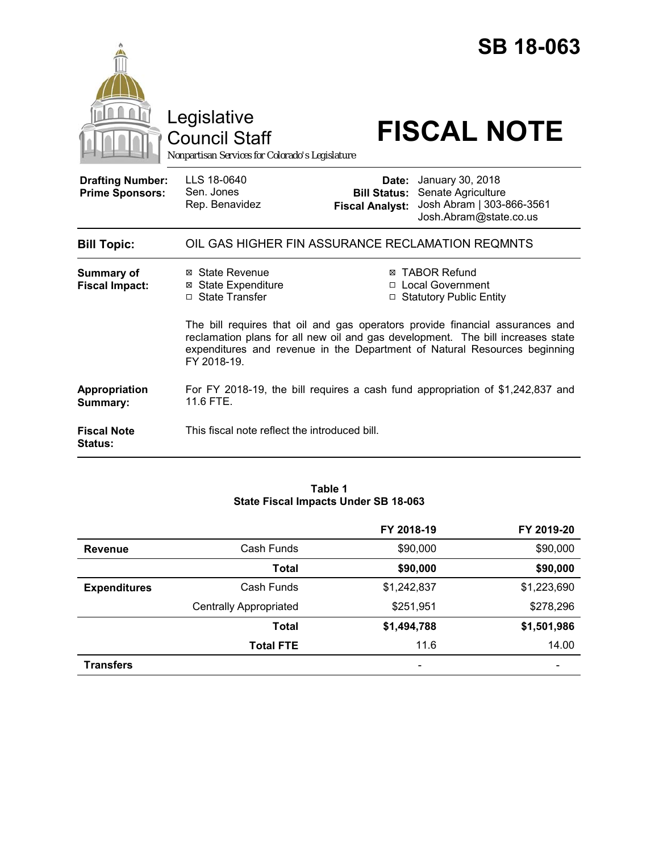

Council Staff

# Legislative<br>
Council Staff **FISCAL NOTE**

*Nonpartisan Services for Colorado's Legislature*

| <b>Drafting Number:</b><br><b>Prime Sponsors:</b> | LLS 18-0640<br>Sen. Jones<br>Rep. Benavidez | <b>Date:</b> January 30, 2018<br><b>Bill Status: Senate Agriculture</b><br>Fiscal Analyst: Josh Abram   303-866-3561<br>Josh.Abram@state.co.us |
|---------------------------------------------------|---------------------------------------------|------------------------------------------------------------------------------------------------------------------------------------------------|
| <b>Bill Topic:</b>                                |                                             | OIL GAS HIGHER FIN ASSURANCE RECLAMATION REQMNTS                                                                                               |

| Summary of<br><b>Fiscal Impact:</b>  | ⊠ State Revenue<br>⊠ State Expenditure<br>□ State Transfer                                                                                                                                                                                                  | ⊠ TABOR Refund<br>□ Local Government<br>$\Box$ Statutory Public Entity         |
|--------------------------------------|-------------------------------------------------------------------------------------------------------------------------------------------------------------------------------------------------------------------------------------------------------------|--------------------------------------------------------------------------------|
|                                      | The bill requires that oil and gas operators provide financial assurances and<br>reclamation plans for all new oil and gas development. The bill increases state<br>expenditures and revenue in the Department of Natural Resources beginning<br>FY 2018-19 |                                                                                |
| Appropriation<br>Summary:            | 11.6 FTE.                                                                                                                                                                                                                                                   | For FY 2018-19, the bill requires a cash fund appropriation of \$1,242,837 and |
| <b>Fiscal Note</b><br><b>Status:</b> | This fiscal note reflect the introduced bill.                                                                                                                                                                                                               |                                                                                |

## **Table 1 State Fiscal Impacts Under SB 18-063**

|                     |                               | FY 2018-19               | FY 2019-20  |
|---------------------|-------------------------------|--------------------------|-------------|
| <b>Revenue</b>      | Cash Funds                    | \$90,000                 | \$90,000    |
|                     | <b>Total</b>                  | \$90,000                 | \$90,000    |
| <b>Expenditures</b> | Cash Funds                    | \$1,242,837              | \$1,223,690 |
|                     | <b>Centrally Appropriated</b> | \$251,951                | \$278,296   |
|                     | <b>Total</b>                  | \$1,494,788              | \$1,501,986 |
|                     | <b>Total FTE</b>              | 11.6                     | 14.00       |
| <b>Transfers</b>    |                               | $\overline{\phantom{a}}$ |             |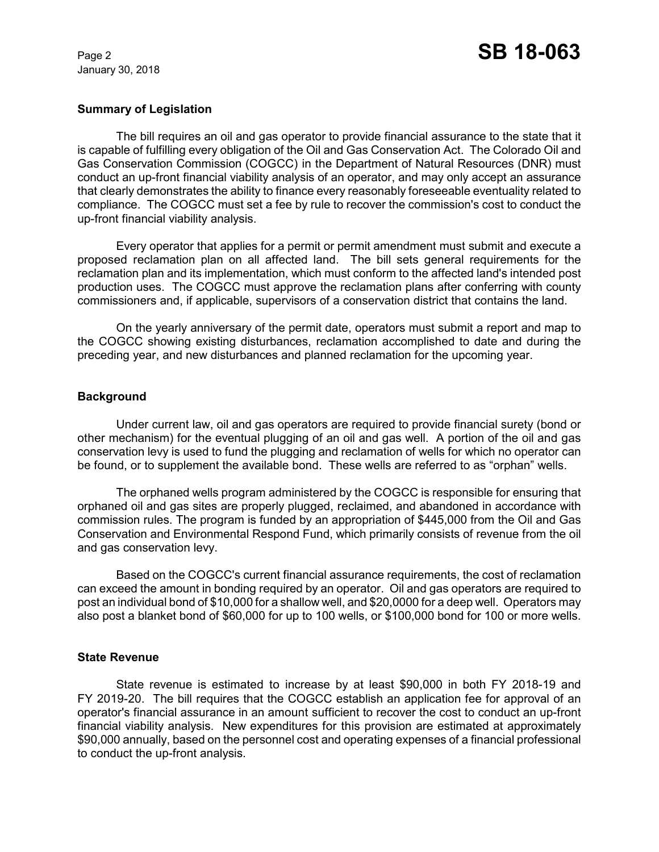January 30, 2018

## **Summary of Legislation**

The bill requires an oil and gas operator to provide financial assurance to the state that it is capable of fulfilling every obligation of the Oil and Gas Conservation Act. The Colorado Oil and Gas Conservation Commission (COGCC) in the Department of Natural Resources (DNR) must conduct an up-front financial viability analysis of an operator, and may only accept an assurance that clearly demonstrates the ability to finance every reasonably foreseeable eventuality related to compliance. The COGCC must set a fee by rule to recover the commission's cost to conduct the up-front financial viability analysis.

Every operator that applies for a permit or permit amendment must submit and execute a proposed reclamation plan on all affected land. The bill sets general requirements for the reclamation plan and its implementation, which must conform to the affected land's intended post production uses. The COGCC must approve the reclamation plans after conferring with county commissioners and, if applicable, supervisors of a conservation district that contains the land.

On the yearly anniversary of the permit date, operators must submit a report and map to the COGCC showing existing disturbances, reclamation accomplished to date and during the preceding year, and new disturbances and planned reclamation for the upcoming year.

## **Background**

Under current law, oil and gas operators are required to provide financial surety (bond or other mechanism) for the eventual plugging of an oil and gas well. A portion of the oil and gas conservation levy is used to fund the plugging and reclamation of wells for which no operator can be found, or to supplement the available bond. These wells are referred to as "orphan" wells.

The orphaned wells program administered by the COGCC is responsible for ensuring that orphaned oil and gas sites are properly plugged, reclaimed, and abandoned in accordance with commission rules. The program is funded by an appropriation of \$445,000 from the Oil and Gas Conservation and Environmental Respond Fund, which primarily consists of revenue from the oil and gas conservation levy.

Based on the COGCC's current financial assurance requirements, the cost of reclamation can exceed the amount in bonding required by an operator. Oil and gas operators are required to post an individual bond of \$10,000 for a shallow well, and \$20,0000 for a deep well. Operators may also post a blanket bond of \$60,000 for up to 100 wells, or \$100,000 bond for 100 or more wells.

## **State Revenue**

State revenue is estimated to increase by at least \$90,000 in both FY 2018-19 and FY 2019-20. The bill requires that the COGCC establish an application fee for approval of an operator's financial assurance in an amount sufficient to recover the cost to conduct an up-front financial viability analysis. New expenditures for this provision are estimated at approximately \$90,000 annually, based on the personnel cost and operating expenses of a financial professional to conduct the up-front analysis.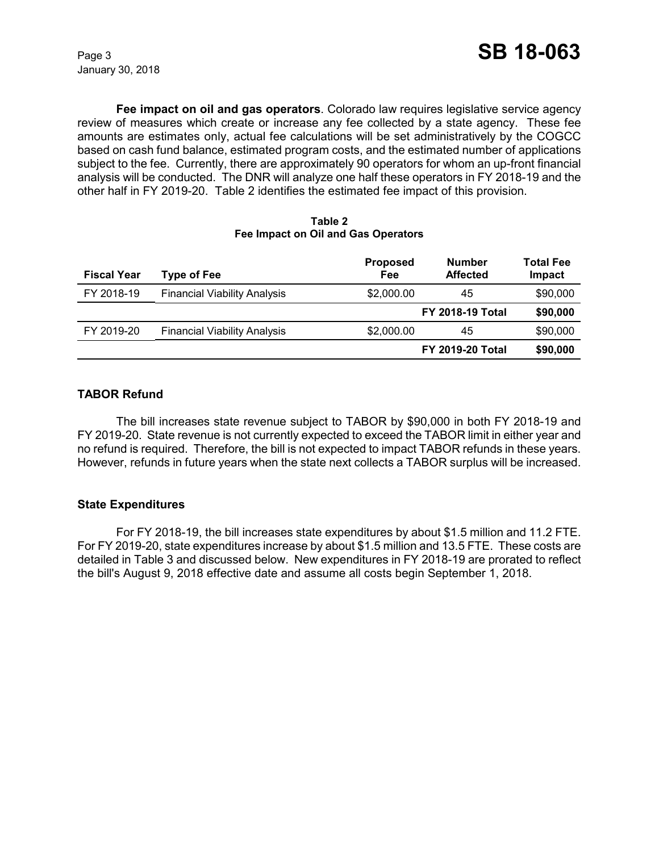January 30, 2018

**Fee impact on oil and gas operators**. Colorado law requires legislative service agency review of measures which create or increase any fee collected by a state agency. These fee amounts are estimates only, actual fee calculations will be set administratively by the COGCC based on cash fund balance, estimated program costs, and the estimated number of applications subject to the fee. Currently, there are approximately 90 operators for whom an up-front financial analysis will be conducted. The DNR will analyze one half these operators in FY 2018-19 and the other half in FY 2019-20. Table 2 identifies the estimated fee impact of this provision.

#### **Table 2 Fee Impact on Oil and Gas Operators**

| <b>Fiscal Year</b> | <b>Type of Fee</b>                  | <b>Proposed</b><br>Fee | <b>Number</b><br><b>Affected</b> | <b>Total Fee</b><br>Impact |
|--------------------|-------------------------------------|------------------------|----------------------------------|----------------------------|
| FY 2018-19         | <b>Financial Viability Analysis</b> | \$2,000.00             | 45                               | \$90,000                   |
|                    |                                     |                        | <b>FY 2018-19 Total</b>          | \$90,000                   |
| FY 2019-20         | <b>Financial Viability Analysis</b> | \$2,000.00             | 45                               | \$90,000                   |
|                    |                                     |                        | <b>FY 2019-20 Total</b>          | \$90,000                   |

# **TABOR Refund**

The bill increases state revenue subject to TABOR by \$90,000 in both FY 2018-19 and FY 2019-20. State revenue is not currently expected to exceed the TABOR limit in either year and no refund is required. Therefore, the bill is not expected to impact TABOR refunds in these years. However, refunds in future years when the state next collects a TABOR surplus will be increased.

# **State Expenditures**

For FY 2018-19, the bill increases state expenditures by about \$1.5 million and 11.2 FTE. For FY 2019-20, state expenditures increase by about \$1.5 million and 13.5 FTE. These costs are detailed in Table 3 and discussed below. New expenditures in FY 2018-19 are prorated to reflect the bill's August 9, 2018 effective date and assume all costs begin September 1, 2018.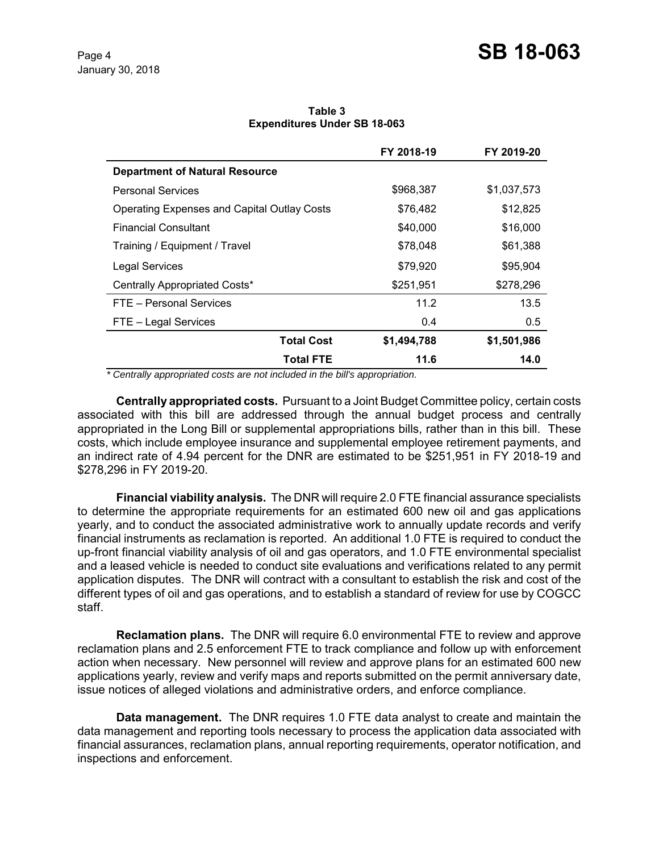**Table 3 Expenditures Under SB 18-063**

|                                                    | FY 2018-19  | FY 2019-20  |
|----------------------------------------------------|-------------|-------------|
| <b>Department of Natural Resource</b>              |             |             |
| <b>Personal Services</b>                           | \$968,387   | \$1,037,573 |
| <b>Operating Expenses and Capital Outlay Costs</b> | \$76,482    | \$12,825    |
| <b>Financial Consultant</b>                        | \$40,000    | \$16,000    |
| Training / Equipment / Travel                      | \$78,048    | \$61,388    |
| <b>Legal Services</b>                              | \$79,920    | \$95,904    |
| Centrally Appropriated Costs*                      | \$251,951   | \$278,296   |
| FTE - Personal Services                            | 11.2        | 13.5        |
| FTE - Legal Services                               | 0.4         | 0.5         |
| <b>Total Cost</b>                                  | \$1,494,788 | \$1,501,986 |
| <b>Total FTE</b>                                   | 11.6        | 14.0        |

 *\* Centrally appropriated costs are not included in the bill's appropriation.*

**Centrally appropriated costs.** Pursuant to a Joint Budget Committee policy, certain costs associated with this bill are addressed through the annual budget process and centrally appropriated in the Long Bill or supplemental appropriations bills, rather than in this bill. These costs, which include employee insurance and supplemental employee retirement payments, and an indirect rate of 4.94 percent for the DNR are estimated to be \$251,951 in FY 2018-19 and \$278,296 in FY 2019-20.

**Financial viability analysis.** The DNR will require 2.0 FTE financial assurance specialists to determine the appropriate requirements for an estimated 600 new oil and gas applications yearly, and to conduct the associated administrative work to annually update records and verify financial instruments as reclamation is reported. An additional 1.0 FTE is required to conduct the up-front financial viability analysis of oil and gas operators, and 1.0 FTE environmental specialist and a leased vehicle is needed to conduct site evaluations and verifications related to any permit application disputes. The DNR will contract with a consultant to establish the risk and cost of the different types of oil and gas operations, and to establish a standard of review for use by COGCC staff.

**Reclamation plans.** The DNR will require 6.0 environmental FTE to review and approve reclamation plans and 2.5 enforcement FTE to track compliance and follow up with enforcement action when necessary. New personnel will review and approve plans for an estimated 600 new applications yearly, review and verify maps and reports submitted on the permit anniversary date, issue notices of alleged violations and administrative orders, and enforce compliance.

**Data management.** The DNR requires 1.0 FTE data analyst to create and maintain the data management and reporting tools necessary to process the application data associated with financial assurances, reclamation plans, annual reporting requirements, operator notification, and inspections and enforcement.